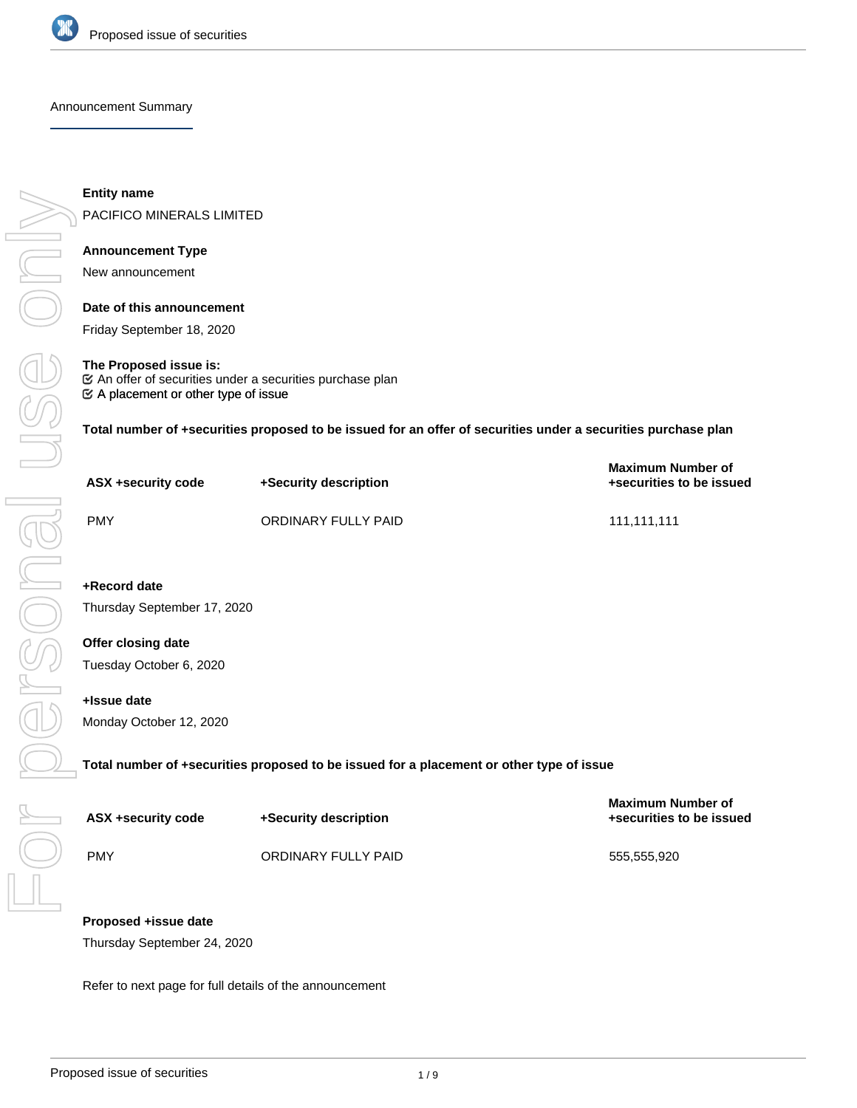

Announcement Summary

**Entity name**

PACIFICO MINERALS LIMITED

## **Announcement Type**

New announcement

## **Date of this announcement**

Friday September 18, 2020

## **The Proposed issue is:**

 $\mathfrak{C}$  A placement or other type of issue  $\mathfrak C$  An offer of securities under a securities purchase plan

**Total number of +securities proposed to be issued for an offer of securities under a securities purchase plan**

| ASX +security code | +Security description | <b>Maximum Number of</b><br>+securities to be issued |
|--------------------|-----------------------|------------------------------------------------------|
| PMY                | ORDINARY FULLY PAID   | 111,111,111                                          |
|                    |                       |                                                      |

# **+Record date**

Thursday September 17, 2020

# **Offer closing date**

Tuesday October 6, 2020

## **+Issue date**

Monday October 12, 2020

**Total number of +securities proposed to be issued for a placement or other type of issue**

| ASX +security code | +Security description | - Maximum Number of<br>+securities to be issued |
|--------------------|-----------------------|-------------------------------------------------|
| <b>PMY</b>         | ORDINARY FULLY PAID   | 555.555.920                                     |

**Maximum Number of**

## **Proposed +issue date**

Thursday September 24, 2020

Refer to next page for full details of the announcement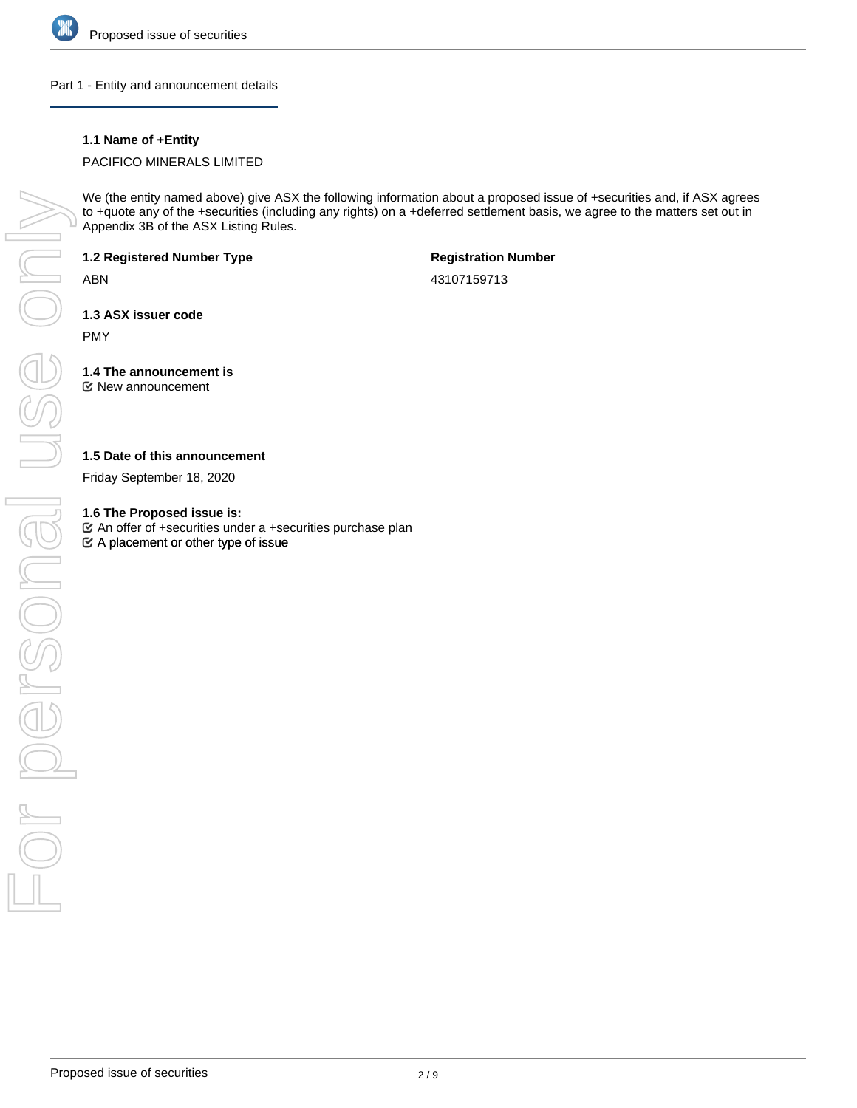

Part 1 - Entity and announcement details

## **1.1 Name of +Entity**

PACIFICO MINERALS LIMITED

We (the entity named above) give ASX the following information about a proposed issue of +securities and, if ASX agrees to +quote any of the +securities (including any rights) on a +deferred settlement basis, we agree to the matters set out in Appendix 3B of the ASX Listing Rules.

**1.2 Registered Number Type**

ABN

**Registration Number**

43107159713

**1.3 ASX issuer code**

PMY

**1.4 The announcement is** New announcement

**1.5 Date of this announcement**

Friday September 18, 2020

**1.6 The Proposed issue is:**

 $\mathfrak{S}$  A placement or other type of issue An offer of +securities under a +securities purchase plan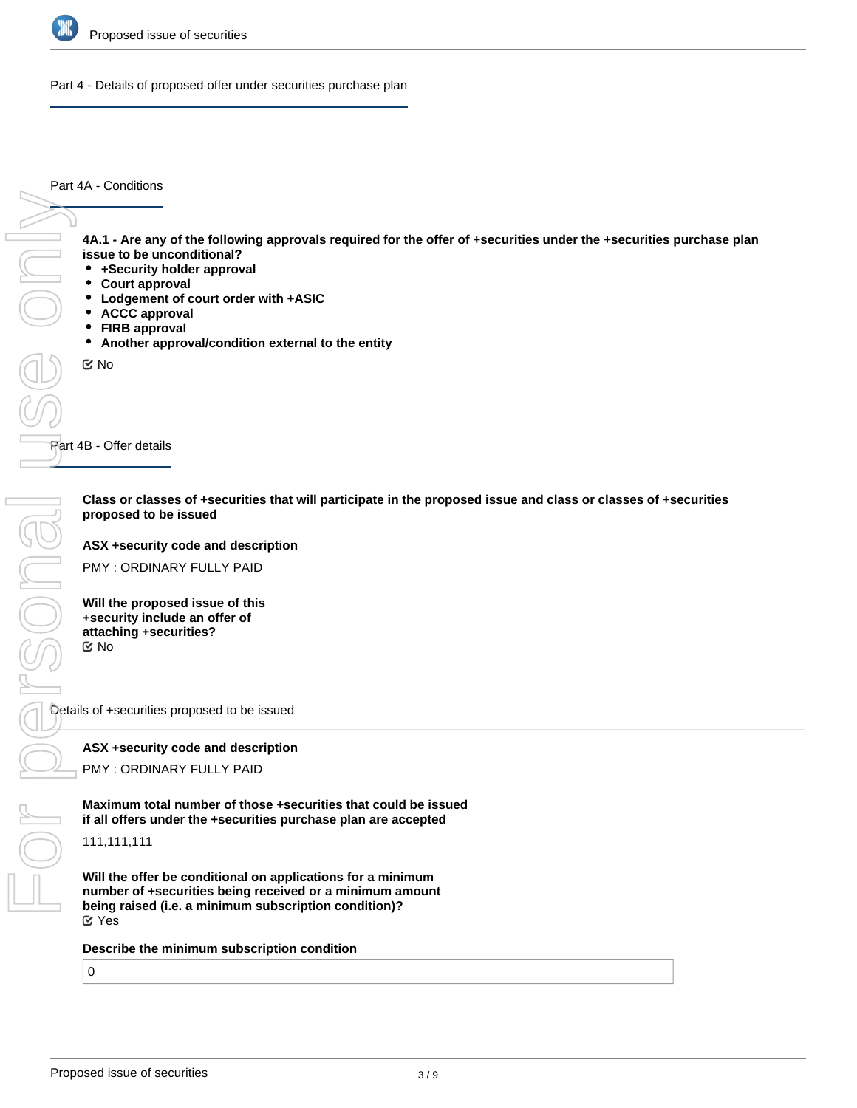

Part 4 - Details of proposed offer under securities purchase plan

Part 4A - Conditions

**4A.1 - Are any of the following approvals required for the offer of +securities under the +securities purchase plan issue to be unconditional?**

- **+Security holder approval**
- **Court approval**
- **Lodgement of court order with +ASIC**
- **ACCC approval**
- **FIRB approval**
- **Another approval/condition external to the entity**

No

Part 4B - Offer details

**Class or classes of +securities that will participate in the proposed issue and class or classes of +securities proposed to be issued**

**ASX +security code and description**

PMY : ORDINARY FULLY PAID

**Will the proposed issue of this +security include an offer of attaching +securities?** No

Details of +securities proposed to be issued

**ASX +security code and description**

PMY : ORDINARY FULLY PAID

**Maximum total number of those +securities that could be issued if all offers under the +securities purchase plan are accepted**

111,111,111

**Will the offer be conditional on applications for a minimum number of +securities being received or a minimum amount being raised (i.e. a minimum subscription condition)?** Yes

**Describe the minimum subscription condition**

0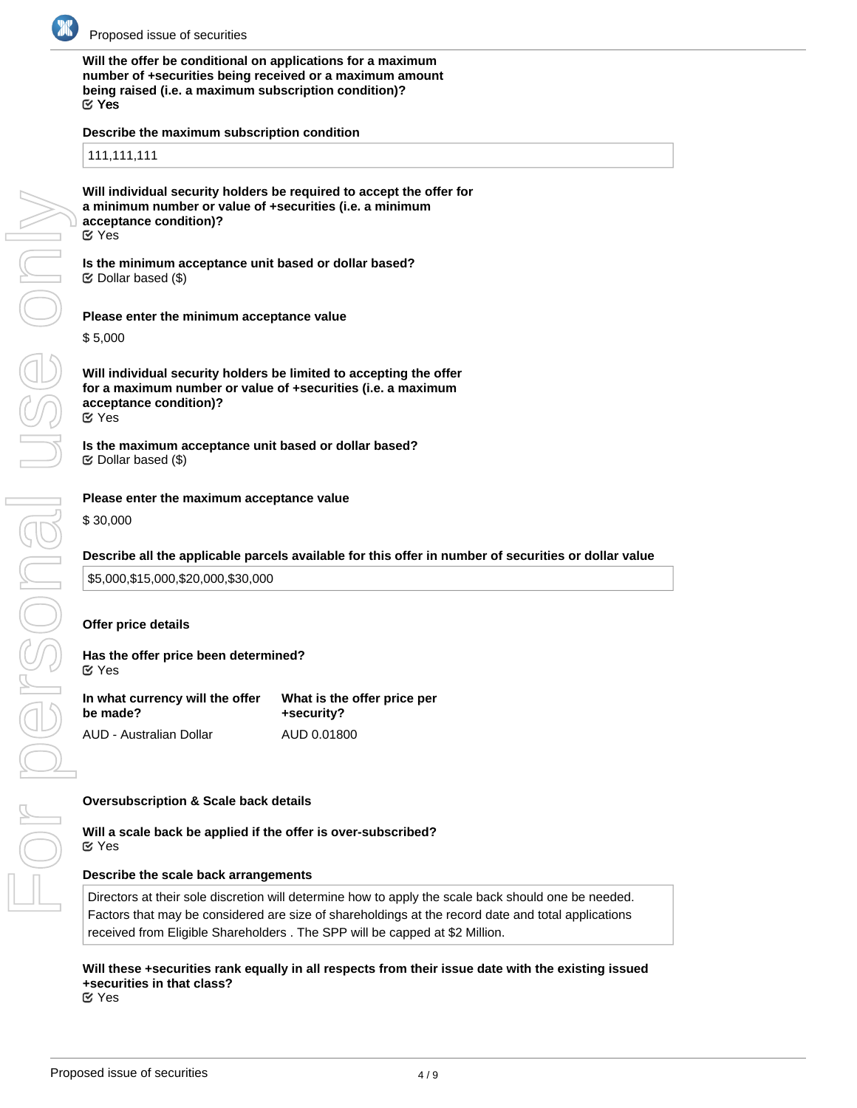

**Will the offer be conditional on applications for a maximum number of +securities being received or a maximum amount being raised (i.e. a maximum subscription condition)?** Yes

### **Describe the maximum subscription condition**

111,111,111

**Will individual security holders be required to accept the offer for a minimum number or value of +securities (i.e. a minimum acceptance condition)?** Yes

**Is the minimum acceptance unit based or dollar based?**  $\mathfrak S$  Dollar based (\$)

**Please enter the minimum acceptance value**

\$ 5,000

**Will individual security holders be limited to accepting the offer for a maximum number or value of +securities (i.e. a maximum acceptance condition)?** Yes

**Is the maximum acceptance unit based or dollar based?**  $\mathfrak{C}$  Dollar based (\$)

### **Please enter the maximum acceptance value**

\$ 30,000

### **Describe all the applicable parcels available for this offer in number of securities or dollar value**

\$5,000,\$15,000,\$20,000,\$30,000

### **Offer price details**

### **Has the offer price been determined?**

Yes

| In what currency will the offer | What is the offer price per |
|---------------------------------|-----------------------------|
| be made?                        | +security?                  |
| AUD - Australian Dollar         | AUD 0.01800                 |

### **Oversubscription & Scale back details**

### **Will a scale back be applied if the offer is over-subscribed?** Yes

### **Describe the scale back arrangements**

Directors at their sole discretion will determine how to apply the scale back should one be needed. Factors that may be considered are size of shareholdings at the record date and total applications received from Eligible Shareholders . The SPP will be capped at \$2 Million.

# **Will these +securities rank equally in all respects from their issue date with the existing issued +securities in that class?**

Yes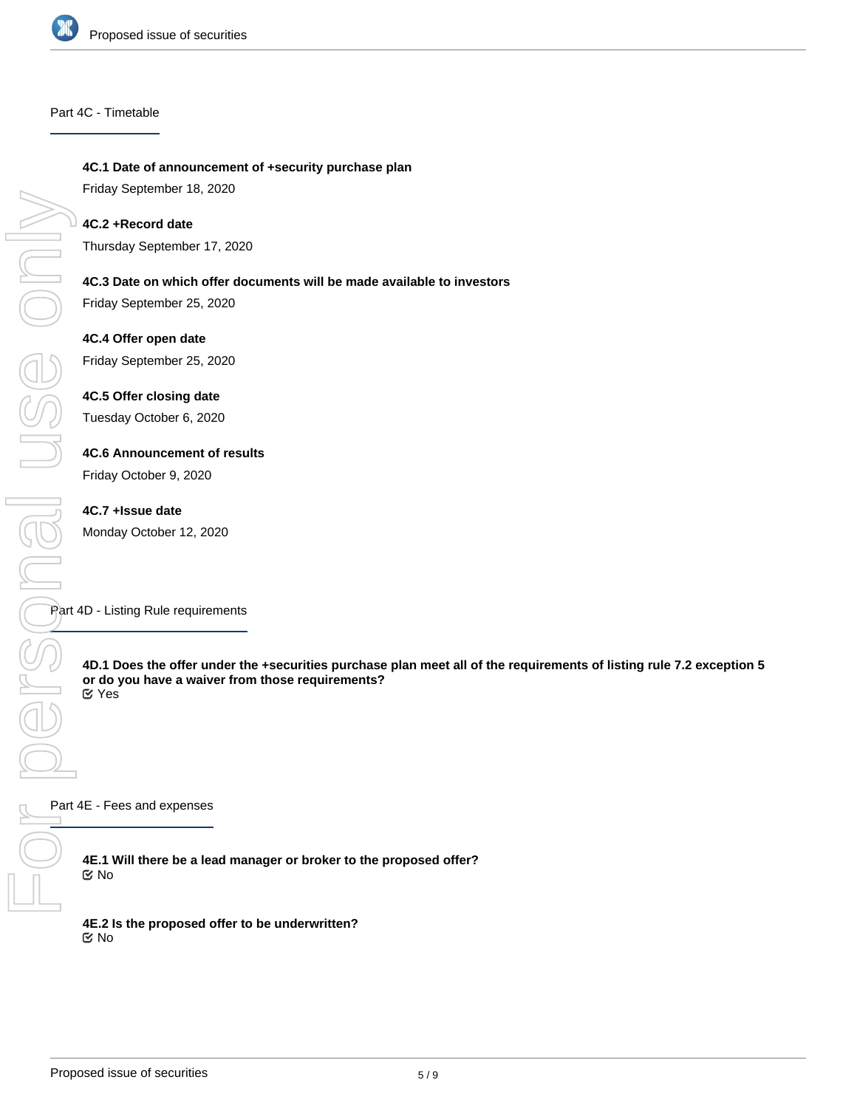

### Part 4C - Timetable

**4C.1 Date of announcement of +security purchase plan**

Friday September 18, 2020

## **4C.2 +Record date**

Thursday September 17, 2020

## **4C.3 Date on which offer documents will be made available to investors**

Friday September 25, 2020

### **4C.4 Offer open date**

Friday September 25, 2020

### **4C.5 Offer closing date**

Tuesday October 6, 2020

## **4C.6 Announcement of results**

Friday October 9, 2020

### **4C.7 +Issue date**

Monday October 12, 2020

### Part 4D - Listing Rule requirements

**4D.1 Does the offer under the +securities purchase plan meet all of the requirements of listing rule 7.2 exception 5 or do you have a waiver from those requirements?** Yes

Part 4E - Fees and expenses

**4E.1 Will there be a lead manager or broker to the proposed offer?** No

**4E.2 Is the proposed offer to be underwritten?** No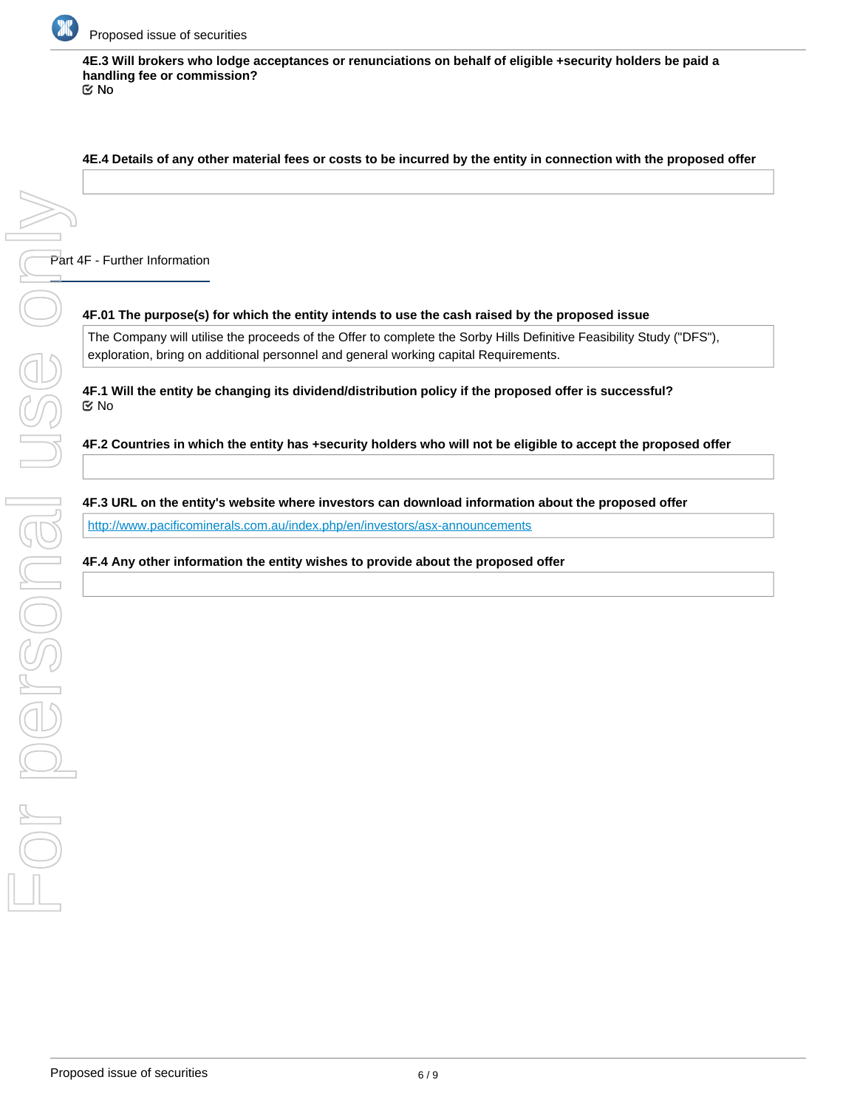

**4E.3 Will brokers who lodge acceptances or renunciations on behalf of eligible +security holders be paid a handling fee or commission?**

No

### **4E.4 Details of any other material fees or costs to be incurred by the entity in connection with the proposed offer**

Part 4F - Further Information

### **4F.01 The purpose(s) for which the entity intends to use the cash raised by the proposed issue**

The Company will utilise the proceeds of the Offer to complete the Sorby Hills Definitive Feasibility Study ("DFS"), exploration, bring on additional personnel and general working capital Requirements.

**4F.1 Will the entity be changing its dividend/distribution policy if the proposed offer is successful?** No

**4F.2 Countries in which the entity has +security holders who will not be eligible to accept the proposed offer**

### **4F.3 URL on the entity's website where investors can download information about the proposed offer**

<http://www.pacificominerals.com.au/index.php/en/investors/asx-announcements>

**4F.4 Any other information the entity wishes to provide about the proposed offer**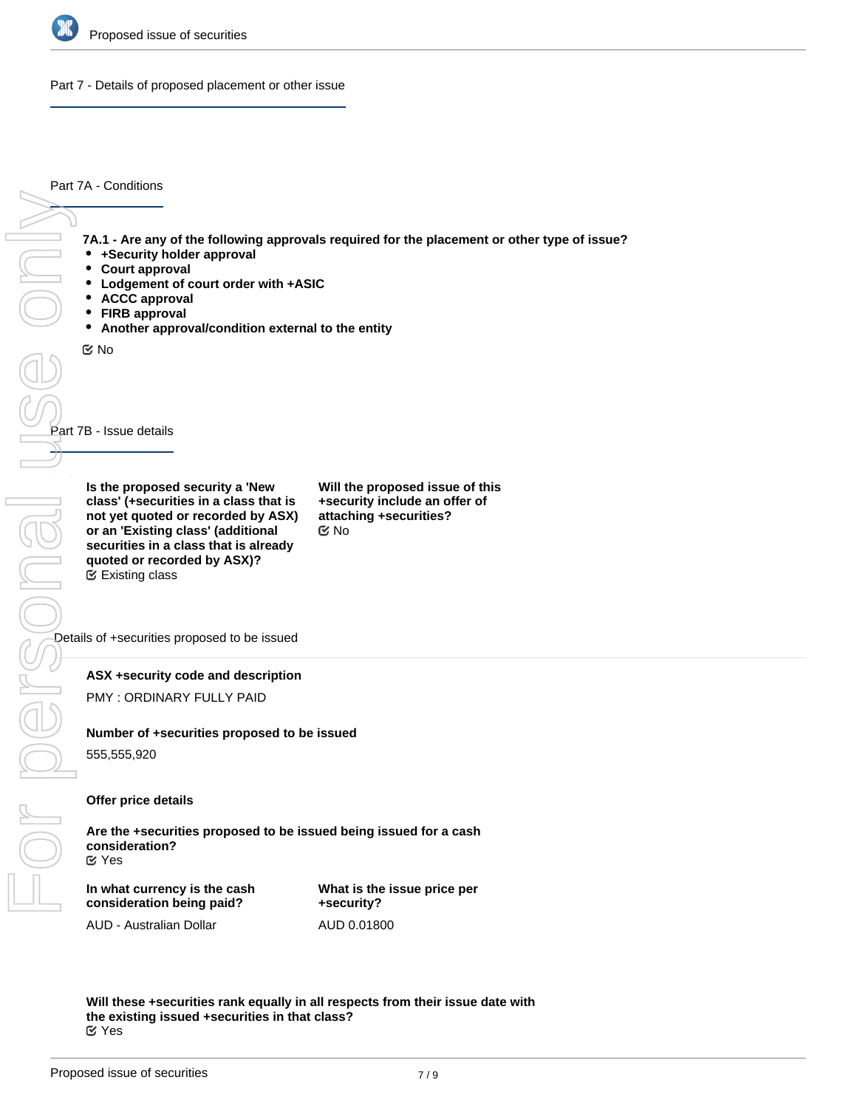

Part 7 - Details of proposed placement or other issue

Part 7A - Conditions

**7A.1 - Are any of the following approvals required for the placement or other type of issue?**

- **+Security holder approval**
- $\bullet$ **Court approval**
- $\bullet$ **Lodgement of court order with +ASIC**
- $\bullet$ **ACCC approval**
- $\bullet$ **FIRB approval**
- **Another approval/condition external to the entity**

No

Part 7B - Issue details For personal use only

**Is the proposed security a 'New class' (+securities in a class that is not yet quoted or recorded by ASX) or an 'Existing class' (additional securities in a class that is already quoted or recorded by ASX)?** Existing class

**Will the proposed issue of this +security include an offer of attaching +securities?** No

Details of +securities proposed to be issued

### **ASX +security code and description**

PMY : ORDINARY FULLY PAID

### **Number of +securities proposed to be issued**

555,555,920

### **Offer price details**

**Are the +securities proposed to be issued being issued for a cash consideration?** Yes

**In what currency is the cash consideration being paid?**

**What is the issue price per +security?** AUD 0.01800

AUD - Australian Dollar

**Will these +securities rank equally in all respects from their issue date with the existing issued +securities in that class?** Yes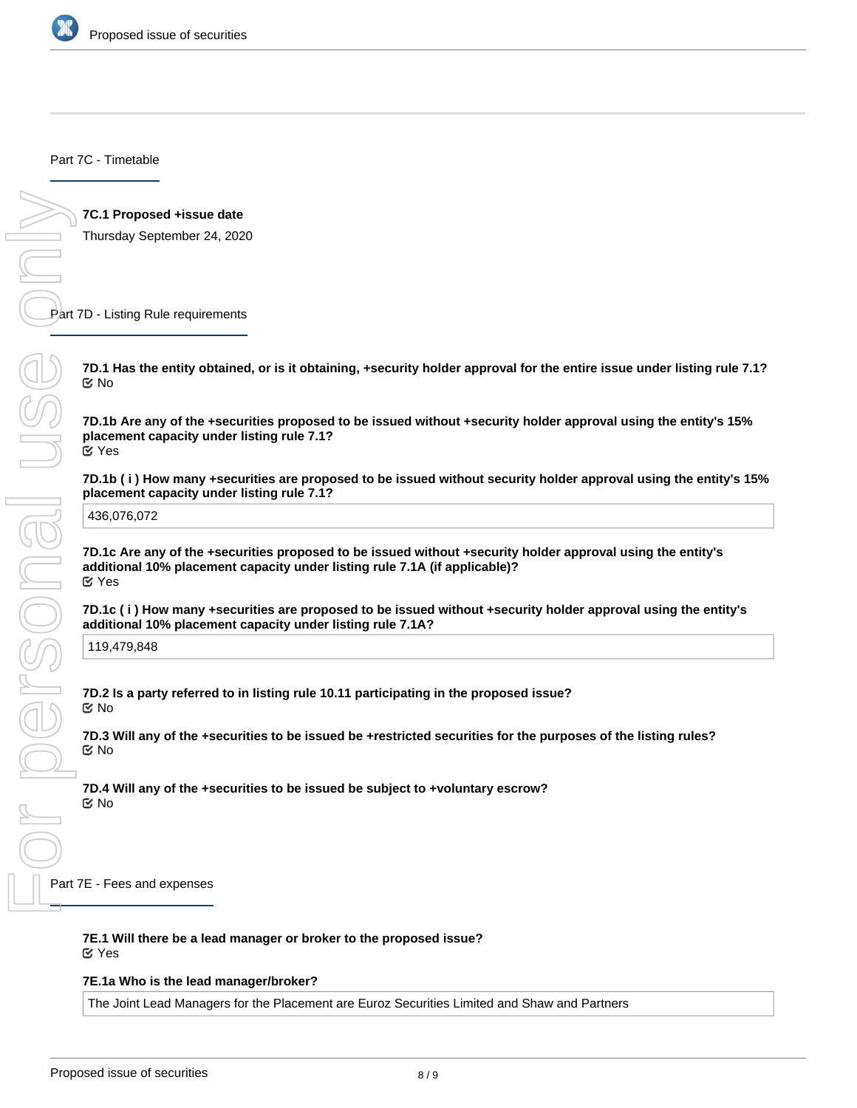

Part 7C - Timetable

**7C.1 Proposed +issue date**

Thursday September 24, 2020

Part 7D - Listing Rule requirements

**7D.1 Has the entity obtained, or is it obtaining, +security holder approval for the entire issue under listing rule 7.1?** No

**7D.1b Are any of the +securities proposed to be issued without +security holder approval using the entity's 15% placement capacity under listing rule 7.1?** Yes

**7D.1b ( i ) How many +securities are proposed to be issued without security holder approval using the entity's 15% placement capacity under listing rule 7.1?**

436,076,072

**7D.1c Are any of the +securities proposed to be issued without +security holder approval using the entity's additional 10% placement capacity under listing rule 7.1A (if applicable)?** Yes

**7D.1c ( i ) How many +securities are proposed to be issued without +security holder approval using the entity's additional 10% placement capacity under listing rule 7.1A?**

119,479,848

**7D.2 Is a party referred to in listing rule 10.11 participating in the proposed issue?** No

**7D.3 Will any of the +securities to be issued be +restricted securities for the purposes of the listing rules?** No

**7D.4 Will any of the +securities to be issued be subject to +voluntary escrow?** No

Part 7E - Fees and expenses

**7E.1 Will there be a lead manager or broker to the proposed issue?**

Yes

**7E.1a Who is the lead manager/broker?**

The Joint Lead Managers for the Placement are Euroz Securities Limited and Shaw and Partners